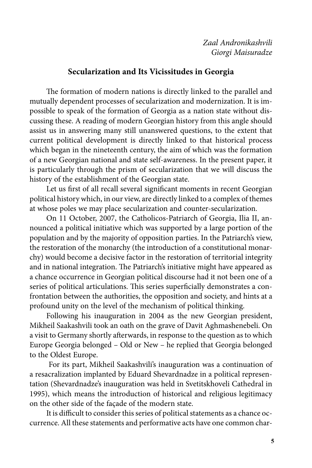## **Secularization and Its Vicissitudes in Georgia**

The formation of modern nations is directly linked to the parallel and mutually dependent processes of secularization and modernization. It is impossible to speak of the formation of Georgia as a nation state without discussing these. A reading of modern Georgian history from this angle should assist us in answering many still unanswered questions, to the extent that current political development is directly linked to that historical process which began in the nineteenth century, the aim of which was the formation of a new Georgian national and state self-awareness. In the present paper, it is particularly through the prism of secularization that we will discuss the history of the establishment of the Georgian state.

Let us first of all recall several significant moments in recent Georgian political history which, in our view, are directly linked to a complex of themes at whose poles we may place secularization and counter-secularization.

On 11 October, 2007, the Catholicos-Patriarch of Georgia, Ilia II, announced a political initiative which was supported by a large portion of the population and by the majority of opposition parties. In the Patriarch's view, the restoration of the monarchy (the introduction of a constitutional monarchy) would become a decisive factor in the restoration of territorial integrity and in national integration. The Patriarch's initiative might have appeared as a chance occurrence in Georgian political discourse had it not been one of a series of political articulations. This series superficially demonstrates a confrontation between the authorities, the opposition and society, and hints at a profound unity on the level of the mechanism of political thinking.

Following his inauguration in 2004 as the new Georgian president, Mikheil Saakashvili took an oath on the grave of Davit Aghmashenebeli. On a visit to Germany shortly afterwards, in response to the question as to which Europe Georgia belonged – Old or New – he replied that Georgia belonged to the Oldest Europe.

 For its part, Mikheil Saakashvili's inauguration was a continuation of a resacralization implanted by Eduard Shevardnadze in a political representation (Shevardnadze's inauguration was held in Svetitskhoveli Cathedral in 1995), which means the introduction of historical and religious legitimacy on the other side of the façade of the modern state.

It is difficult to consider this series of political statements as a chance occurrence. All these statements and performative acts have one common char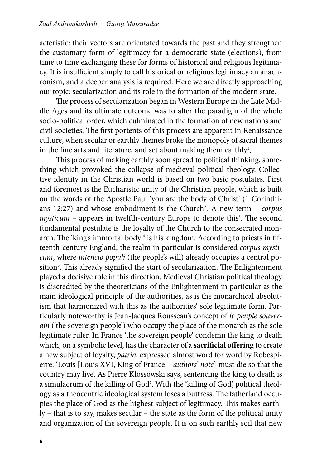acteristic: their vectors are orientated towards the past and they strengthen the customary form of legitimacy for a democratic state (elections), from time to time exchanging these for forms of historical and religious legitimacy. It is insufficient simply to call historical or religious legitimacy an anachronism, and a deeper analysis is required. Here we are directly approaching our topic: secularization and its role in the formation of the modern state.

The process of secularization began in Western Europe in the Late Middle Ages and its ultimate outcome was to alter the paradigm of the whole socio-political order, which culminated in the formation of new nations and civil societies. The first portents of this process are apparent in Renaissance culture, when secular or earthly themes broke the monopoly of sacral themes in the fine arts and literature, and set about making them earthly!.

This process of making earthly soon spread to political thinking, something which provoked the collapse of medieval political theology. Collective identity in the Christian world is based on two basic postulates. First and foremost is the Eucharistic unity of the Christian people, which is built on the words of the Apostle Paul 'you are the body of Christ' (1 Corinthians 12:27) and whose embodiment is the Church<sup>2</sup>. A new term – *corpus* mysticum - appears in twelfth-century Europe to denote this<sup>3</sup>. The second fundamental postulate is the loyalty of the Church to the consecrated monarch. The 'king's immortal body'4 is his kingdom. According to priests in fifteenth-century England, the realm in particular is considered *corpus mysticum*, where *intencio populi* (the people's will) already occupies a central position<sup>5</sup>. This already signified the start of secularization. The Enlightenment played a decisive role in this direction. Medieval Christian political theology is discredited by the theoreticians of the Enlightenment in particular as the main ideological principle of the authorities, as is the monarchical absolutism that harmonized with this as the authorities' sole legitimate form. Particularly noteworthy is Jean-Jacques Rousseau's concept of *le peuple souverain* ('the sovereign people') who occupy the place of the monarch as the sole legitimate ruler. In France 'the sovereign people' condemn the king to death which, on a symbolic level, has the character of a **sacrificial offering** to create a new subject of loyalty, *patria*, expressed almost word for word by Robespierre: 'Louis [Louis XVI, King of France – *authors' note*] must die so that the country may live'. As Pierre Klossowski says, sentencing the king to death is a simulacrum of the killing of God<sup>6</sup>. With the 'killing of God', political theology as a theocentric ideological system loses a buttress. The fatherland occupies the place of God as the highest subject of legitimacy. This makes earthly – that is to say, makes secular – the state as the form of the political unity and organization of the sovereign people. It is on such earthly soil that new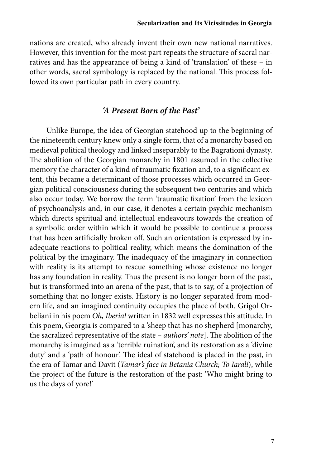nations are created, who already invent their own new national narratives. However, this invention for the most part repeats the structure of sacral narratives and has the appearance of being a kind of 'translation' of these – in other words, sacral symbology is replaced by the national. This process followed its own particular path in every country.

### *'A Present Born of the Past'*

Unlike Europe, the idea of Georgian statehood up to the beginning of the nineteenth century knew only a single form, that of a monarchy based on medieval political theology and linked inseparably to the Bagrationi dynasty. The abolition of the Georgian monarchy in 1801 assumed in the collective memory the character of a kind of traumatic fixation and, to a significant extent, this became a determinant of those processes which occurred in Georgian political consciousness during the subsequent two centuries and which also occur today. We borrow the term 'traumatic fixation' from the lexicon of psychoanalysis and, in our case, it denotes a certain psychic mechanism which directs spiritual and intellectual endeavours towards the creation of a symbolic order within which it would be possible to continue a process that has been artificially broken off. Such an orientation is expressed by inadequate reactions to political reality, which means the domination of the political by the imaginary. The inadequacy of the imaginary in connection with reality is its attempt to rescue something whose existence no longer has any foundation in reality. Thus the present is no longer born of the past, but is transformed into an arena of the past, that is to say, of a projection of something that no longer exists. History is no longer separated from modern life, and an imagined continuity occupies the place of both. Grigol Orbeliani in his poem *Oh, Iberia!* written in 1832 well expresses this attitude. In this poem, Georgia is compared to a 'sheep that has no shepherd [monarchy, the sacralized representative of the state – *authors' note*]. The abolition of the monarchy is imagined as a 'terrible ruination', and its restoration as a 'divine duty' and a 'path of honour'. The ideal of statehood is placed in the past, in the era of Tamar and Davit (*Tamar's face in Betania Church; To Iarali*), while the project of the future is the restoration of the past: 'Who might bring to us the days of yore!'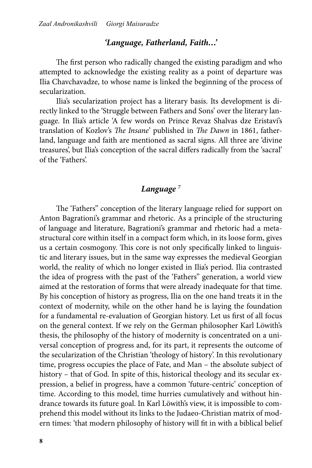## *'Language, Fatherland, Faith…'*

The first person who radically changed the existing paradigm and who attempted to acknowledge the existing reality as a point of departure was Ilia Chavchavadze, to whose name is linked the beginning of the process of secularization.

Ilia's secularization project has a literary basis. Its development is directly linked to the 'Struggle between Fathers and Sons' over the literary language. In Ilia's article 'A few words on Prince Revaz Shalvas dze Eristavi's translation of Kozlov's *The Insane*' published in *The Dawn* in 1861, fatherland, language and faith are mentioned as sacral signs. All three are 'divine treasures', but Ilia's conception of the sacral differs radically from the 'sacral' of the 'Fathers'.

# *Language 7*

The 'Fathers'' conception of the literary language relied for support on Anton Bagrationi's grammar and rhetoric. As a principle of the structuring of language and literature, Bagrationi's grammar and rhetoric had a metastructural core within itself in a compact form which, in its loose form, gives us a certain cosmogony. This core is not only specifically linked to linguistic and literary issues, but in the same way expresses the medieval Georgian world, the reality of which no longer existed in Ilia's period. Ilia contrasted the idea of progress with the past of the 'Fathers'' generation, a world view aimed at the restoration of forms that were already inadequate for that time. By his conception of history as progress, Ilia on the one hand treats it in the context of modernity, while on the other hand he is laying the foundation for a fundamental re-evaluation of Georgian history. Let us first of all focus on the general context. If we rely on the German philosopher Karl Löwith's thesis, the philosophy of the history of modernity is concentrated on a universal conception of progress and, for its part, it represents the outcome of the secularization of the Christian 'theology of history'. In this revolutionary time, progress occupies the place of Fate, and Man – the absolute subject of history – that of God. In spite of this, historical theology and its secular expression, a belief in progress, have a common 'future-centric' conception of time. According to this model, time hurries cumulatively and without hindrance towards its future goal. In Karl Löwith's view, it is impossible to comprehend this model without its links to the Judaeo-Christian matrix of modern times: 'that modern philosophy of history will fit in with a biblical belief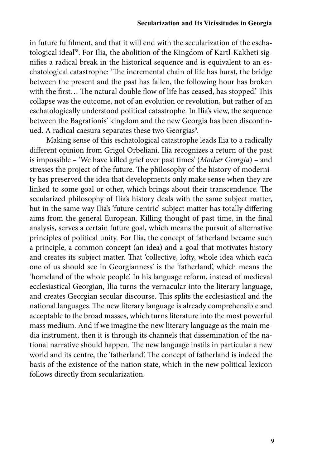in future fulfilment, and that it will end with the secularization of the eschatological ideal'8 . For Ilia, the abolition of the Kingdom of Kartl-Kakheti signifies a radical break in the historical sequence and is equivalent to an eschatological catastrophe: 'The incremental chain of life has burst, the bridge between the present and the past has fallen, the following hour has broken with the first… The natural double flow of life has ceased, has stopped.' This collapse was the outcome, not of an evolution or revolution, but rather of an eschatologically understood political catastrophe. In Ilia's view, the sequence between the Bagrationis' kingdom and the new Georgia has been discontinued. A radical caesura separates these two Georgias<sup>9</sup>.

Making sense of this eschatological catastrophe leads Ilia to a radically different opinion from Grigol Orbeliani. Ilia recognizes a return of the past is impossible – 'We have killed grief over past times' (*Mother Georgia*) – and stresses the project of the future. The philosophy of the history of modernity has preserved the idea that developments only make sense when they are linked to some goal or other, which brings about their transcendence. The secularized philosophy of Ilia's history deals with the same subject matter, but in the same way Ilia's 'future-centric' subject matter has totally differing aims from the general European. Killing thought of past time, in the final analysis, serves a certain future goal, which means the pursuit of alternative principles of political unity. For Ilia, the concept of fatherland became such a principle, a common concept (an idea) and a goal that motivates history and creates its subject matter. That 'collective, lofty, whole idea which each one of us should see in Georgianness' is the 'fatherland', which means the 'homeland of the whole people'. In his language reform, instead of medieval ecclesiastical Georgian, Ilia turns the vernacular into the literary language, and creates Georgian secular discourse. This splits the ecclesiastical and the national languages. The new literary language is already comprehensible and acceptable to the broad masses, which turns literature into the most powerful mass medium. And if we imagine the new literary language as the main media instrument, then it is through its channels that dissemination of the national narrative should happen. The new language instils in particular a new world and its centre, the 'fatherland'. The concept of fatherland is indeed the basis of the existence of the nation state, which in the new political lexicon follows directly from secularization.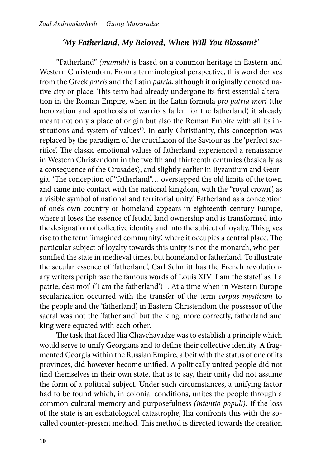#### *'My Fatherland, My Beloved, When Will You Blossom?'*

"Fatherland" *(mamuli)* is based on a common heritage in Eastern and Western Christendom. From a terminological perspective, this word derives from the Greek *patris* and the Latin *patria*, although it originally denoted native city or place. This term had already undergone its first essential alteration in the Roman Empire, when in the Latin formula *pro patria mori* (the heroization and apotheosis of warriors fallen for the fatherland) it already meant not only a place of origin but also the Roman Empire with all its institutions and system of values<sup>10</sup>. In early Christianity, this conception was replaced by the paradigm of the crucifixion of the Saviour as the 'perfect sacrifice'. The classic emotional values of fatherland experienced a renaissance in Western Christendom in the twelfth and thirteenth centuries (basically as a consequence of the Crusades), and slightly earlier in Byzantium and Georgia. 'The conception of "fatherland"… overstepped the old limits of the town and came into contact with the national kingdom, with the "royal crown", as a visible symbol of national and territorial unity.' Fatherland as a conception of one's own country or homeland appears in eighteenth-century Europe, where it loses the essence of feudal land ownership and is transformed into the designation of collective identity and into the subject of loyalty. This gives rise to the term 'imagined community', where it occupies a central place. The particular subject of loyalty towards this unity is not the monarch, who personified the state in medieval times, but homeland or fatherland. To illustrate the secular essence of 'fatherland', Carl Schmitt has the French revolutionary writers periphrase the famous words of Louis XIV 'I am the state!' as 'La patrie, c'est moi' ('I am the fatherland')<sup>11</sup>. At a time when in Western Europe secularization occurred with the transfer of the term *corpus mysticum* to the people and the 'fatherland', in Eastern Christendom the possessor of the sacral was not the 'fatherland' but the king, more correctly, fatherland and king were equated with each other.

The task that faced Ilia Chavchavadze was to establish a principle which would serve to unify Georgians and to define their collective identity. A fragmented Georgia within the Russian Empire, albeit with the status of one of its provinces, did however become unified. A politically united people did not find themselves in their own state, that is to say, their unity did not assume the form of a political subject. Under such circumstances, a unifying factor had to be found which, in colonial conditions, unites the people through a common cultural memory and purposefulness *(intentio populi)*. If the loss of the state is an eschatological catastrophe, Ilia confronts this with the socalled counter-present method. This method is directed towards the creation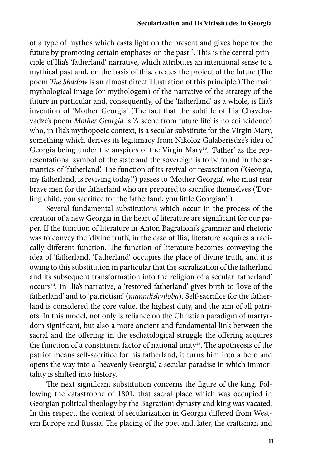of a type of mythos which casts light on the present and gives hope for the future by promoting certain emphases on the past<sup>12</sup>. This is the central principle of Ilia's 'fatherland' narrative, which attributes an intentional sense to a mythical past and, on the basis of this, creates the project of the future (The poem *The Shadow* is an almost direct illustration of this principle.) The main mythological image (or mythologem) of the narrative of the strategy of the future in particular and, consequently, of the 'fatherland' as a whole, is Ilia's invention of 'Mother Georgia' (The fact that the subtitle of Ilia Chavchavadze's poem *Mother Georgia* is 'A scene from future life' is no coincidence) who, in Ilia's mythopoeic context, is a secular substitute for the Virgin Mary, something which derives its legitimacy from Nikoloz Gulaberisdze's idea of Georgia being under the auspices of the Virgin Mary<sup>13</sup>. 'Father' as the representational symbol of the state and the sovereign is to be found in the semantics of 'fatherland'. The function of its revival or resuscitation ('Georgia, my fatherland, is reviving today!') passes to 'Mother Georgia', who must rear brave men for the fatherland who are prepared to sacrifice themselves ('Darling child, you sacrifice for the fatherland, you little Georgian!').

Several fundamental substitutions which occur in the process of the creation of a new Georgia in the heart of literature are significant for our paper. If the function of literature in Anton Bagrationi's grammar and rhetoric was to convey the 'divine truth', in the case of Ilia, literature acquires a radically different function. The function of literature becomes conveying the idea of 'fatherland'. 'Fatherland' occupies the place of divine truth, and it is owing to this substitution in particular that the sacralization of the fatherland and its subsequent transformation into the religion of a secular 'fatherland' occurs14. In Ilia's narrative, a 'restored fatherland' gives birth to 'love of the fatherland' and to 'patriotism' (*mamulishviloba*). Self-sacrifice for the fatherland is considered the core value, the highest duty, and the aim of all patriots. In this model, not only is reliance on the Christian paradigm of martyrdom significant, but also a more ancient and fundamental link between the sacral and the offering: in the eschatological struggle the offering acquires the function of a constituent factor of national unity<sup>15</sup>. The apotheosis of the patriot means self-sacrifice for his fatherland, it turns him into a hero and opens the way into a 'heavenly Georgia', a secular paradise in which immortality is shifted into history.

The next significant substitution concerns the figure of the king. Following the catastrophe of 1801, that sacral place which was occupied in Georgian political theology by the Bagrationi dynasty and king was vacated. In this respect, the context of secularization in Georgia differed from Western Europe and Russia. The placing of the poet and, later, the craftsman and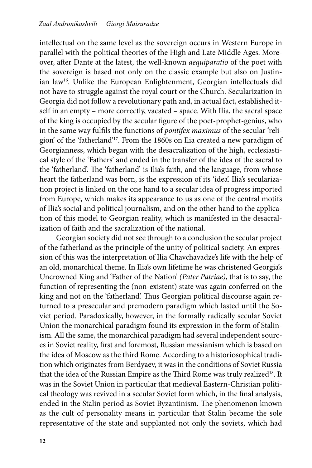intellectual on the same level as the sovereign occurs in Western Europe in parallel with the political theories of the High and Late Middle Ages. Moreover, after Dante at the latest, the well-known *aequiparatio* of the poet with the sovereign is based not only on the classic example but also on Justinian law<sup>16</sup>. Unlike the European Enlightenment, Georgian intellectuals did not have to struggle against the royal court or the Church. Secularization in Georgia did not follow a revolutionary path and, in actual fact, established itself in an empty – more correctly, vacated – space. With Ilia, the sacral space of the king is occupied by the secular figure of the poet-prophet-genius, who in the same way fulfils the functions of *pontifex maximus* of the secular 'religion' of the 'fatherland'17. From the 1860s on Ilia created a new paradigm of Georgianness, which began with the desacralization of the high, ecclesiastical style of the 'Fathers' and ended in the transfer of the idea of the sacral to the 'fatherland'. The 'fatherland' is Ilia's faith, and the language, from whose heart the fatherland was born, is the expression of its 'idea'. Ilia's secularization project is linked on the one hand to a secular idea of progress imported from Europe, which makes its appearance to us as one of the central motifs of Ilia's social and political journalism, and on the other hand to the application of this model to Georgian reality, which is manifested in the desacralization of faith and the sacralization of the national.

Georgian society did not see through to a conclusion the secular project of the fatherland as the principle of the unity of political society. An expression of this was the interpretation of Ilia Chavchavadze's life with the help of an old, monarchical theme. In Ilia's own lifetime he was christened Georgia's Uncrowned King and 'Father of the Nation' *(Pater Patriae)*, that is to say, the function of representing the (non-existent) state was again conferred on the king and not on the 'fatherland'. Thus Georgian political discourse again returned to a presecular and premodern paradigm which lasted until the Soviet period. Paradoxically, however, in the formally radically secular Soviet Union the monarchical paradigm found its expression in the form of Stalinism. All the same, the monarchical paradigm had several independent sources in Soviet reality, first and foremost, Russian messianism which is based on the idea of Moscow as the third Rome. According to a historiosophical tradition which originates from Berdyaev, it was in the conditions of Soviet Russia that the idea of the Russian Empire as the Third Rome was truly realized<sup>18</sup>. It was in the Soviet Union in particular that medieval Eastern-Christian political theology was revived in a secular Soviet form which, in the final analysis, ended in the Stalin period as Soviet Byzantinism. The phenomenon known as the cult of personality means in particular that Stalin became the sole representative of the state and supplanted not only the soviets, which had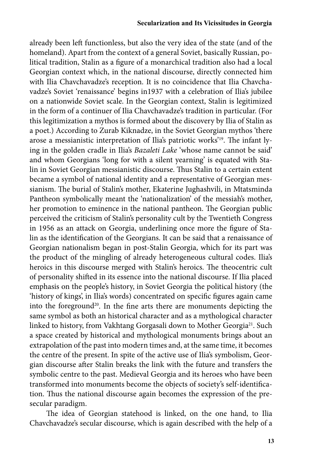already been left functionless, but also the very idea of the state (and of the homeland). Apart from the context of a general Soviet, basically Russian, political tradition, Stalin as a figure of a monarchical tradition also had a local Georgian context which, in the national discourse, directly connected him with Ilia Chavchavadze's reception. It is no coincidence that Ilia Chavchavadze's Soviet 'renaissance' begins in1937 with a celebration of Ilia's jubilee on a nationwide Soviet scale. In the Georgian context, Stalin is legitimized in the form of a continuer of Ilia Chavchavadze's tradition in particular. (For this legitimization a mythos is formed about the discovery by Ilia of Stalin as a poet.) According to Zurab Kiknadze, in the Soviet Georgian mythos 'there arose a messianistic interpretation of Ilia's patriotic works'19. The infant lying in the golden cradle in Ilia's *Bazaleti Lake* 'whose name cannot be said' and whom Georgians 'long for with a silent yearning' is equated with Stalin in Soviet Georgian messianistic discourse. Thus Stalin to a certain extent became a symbol of national identity and a representative of Georgian messianism. The burial of Stalin's mother, Ekaterine Jughashvili, in Mtatsminda Pantheon symbolically meant the 'nationalization' of the messiah's mother, her promotion to eminence in the national pantheon. The Georgian public perceived the criticism of Stalin's personality cult by the Twentieth Congress in 1956 as an attack on Georgia, underlining once more the figure of Stalin as the identification of the Georgians. It can be said that a renaissance of Georgian nationalism began in post-Stalin Georgia, which for its part was the product of the mingling of already heterogeneous cultural codes. Ilia's heroics in this discourse merged with Stalin's heroics. The theocentric cult of personality shifted in its essence into the national discourse. If Ilia placed emphasis on the people's history, in Soviet Georgia the political history (the 'history of kings', in Ilia's words) concentrated on specific figures again came into the foreground<sup>20</sup>. In the fine arts there are monuments depicting the same symbol as both an historical character and as a mythological character linked to history, from Vakhtang Gorgasali down to Mother Georgia<sup>21</sup>. Such a space created by historical and mythological monuments brings about an extrapolation of the past into modern times and, at the same time, it becomes the centre of the present. In spite of the active use of Ilia's symbolism, Georgian discourse after Stalin breaks the link with the future and transfers the symbolic centre to the past. Medieval Georgia and its heroes who have been transformed into monuments become the objects of society's self-identification. Thus the national discourse again becomes the expression of the presecular paradigm.

The idea of Georgian statehood is linked, on the one hand, to Ilia Chavchavadze's secular discourse, which is again described with the help of a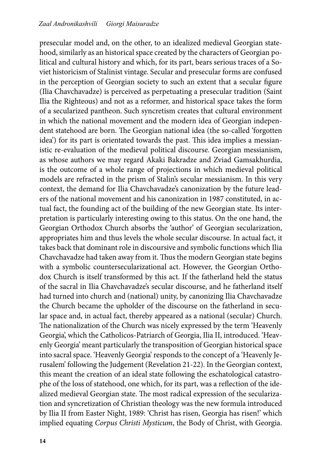presecular model and, on the other, to an idealized medieval Georgian statehood, similarly as an historical space created by the characters of Georgian political and cultural history and which, for its part, bears serious traces of a Soviet historicism of Stalinist vintage. Secular and presecular forms are confused in the perception of Georgian society to such an extent that a secular figure (Ilia Chavchavadze) is perceived as perpetuating a presecular tradition (Saint Ilia the Righteous) and not as a reformer, and historical space takes the form of a secularized pantheon. Such syncretism creates that cultural environment in which the national movement and the modern idea of Georgian independent statehood are born. The Georgian national idea (the so-called 'forgotten idea') for its part is orientated towards the past. This idea implies a messianistic re-evaluation of the medieval political discourse. Georgian messianism, as whose authors we may regard Akaki Bakradze and Zviad Gamsakhurdia, is the outcome of a whole range of projections in which medieval political models are refracted in the prism of Stalin's secular messianism. In this very context, the demand for Ilia Chavchavadze's canonization by the future leaders of the national movement and his canonization in 1987 constituted, in actual fact, the founding act of the building of the new Georgian state. Its interpretation is particularly interesting owing to this status. On the one hand, the Georgian Orthodox Church absorbs the 'author' of Georgian secularization, appropriates him and thus levels the whole secular discourse. In actual fact, it takes back that dominant role in discoursive and symbolic functions which Ilia Chavchavadze had taken away from it. Thus the modern Georgian state begins with a symbolic countersecularizational act. However, the Georgian Orthodox Church is itself transformed by this act. If the fatherland held the status of the sacral in Ilia Chavchavadze's secular discourse, and he fatherland itself had turned into church and (national) unity, by canonizing Ilia Chavchavadze the Church became the upholder of the discourse on the fatherland in secular space and, in actual fact, thereby appeared as a national (secular) Church. The nationalization of the Church was nicely expressed by the term 'Heavenly Georgia', which the Catholicos-Patriarch of Georgia, Ilia II, introduced. 'Heavenly Georgia' meant particularly the transposition of Georgian historical space into sacral space. 'Heavenly Georgia' responds to the concept of a 'Heavenly Jerusalem' following the Judgement (Revelation 21-22). In the Georgian context, this meant the creation of an ideal state following the eschatological catastrophe of the loss of statehood, one which, for its part, was a reflection of the idealized medieval Georgian state. The most radical expression of the secularization and syncretization of Christian theology was the new formula introduced by Ilia II from Easter Night, 1989: 'Christ has risen, Georgia has risen!' which implied equating *Corpus Christi Mysticum*, the Body of Christ, with Georgia.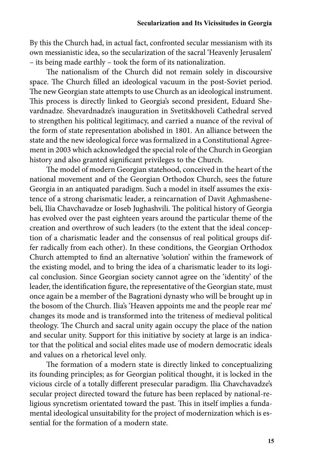By this the Church had, in actual fact, confronted secular messianism with its own messianistic idea, so the secularization of the sacral 'Heavenly Jerusalem' – its being made earthly – took the form of its nationalization.

The nationalism of the Church did not remain solely in discoursive space. The Church filled an ideological vacuum in the post-Soviet period. The new Georgian state attempts to use Church as an ideological instrument. This process is directly linked to Georgia's second president, Eduard Shevardnadze. Shevardnadze's inauguration in Svetitskhoveli Cathedral served to strengthen his political legitimacy, and carried a nuance of the revival of the form of state representation abolished in 1801. An alliance between the state and the new ideological force was formalized in a Constitutional Agreement in 2003 which acknowledged the special role of the Church in Georgian history and also granted significant privileges to the Church.

The model of modern Georgian statehood, conceived in the heart of the national movement and of the Georgian Orthodox Church, sees the future Georgia in an antiquated paradigm. Such a model in itself assumes the existence of a strong charismatic leader, a reincarnation of Davit Aghmashenebeli, Ilia Chavchavadze or Ioseb Jughashvili. The political history of Georgia has evolved over the past eighteen years around the particular theme of the creation and overthrow of such leaders (to the extent that the ideal conception of a charismatic leader and the consensus of real political groups differ radically from each other). In these conditions, the Georgian Orthodox Church attempted to find an alternative 'solution' within the framework of the existing model, and to bring the idea of a charismatic leader to its logical conclusion. Since Georgian society cannot agree on the 'identity' of the leader, the identification figure, the representative of the Georgian state, must once again be a member of the Bagrationi dynasty who will be brought up in the bosom of the Church. Ilia's 'Heaven appoints me and the people rear me' changes its mode and is transformed into the triteness of medieval political theology. The Church and sacral unity again occupy the place of the nation and secular unity. Support for this initiative by society at large is an indicator that the political and social elites made use of modern democratic ideals and values on a rhetorical level only.

The formation of a modern state is directly linked to conceptualizing its founding principles; as for Georgian political thought, it is locked in the vicious circle of a totally different presecular paradigm. Ilia Chavchavadze's secular project directed toward the future has been replaced by national-religious syncretism orientated toward the past. This in itself implies a fundamental ideological unsuitability for the project of modernization which is essential for the formation of a modern state.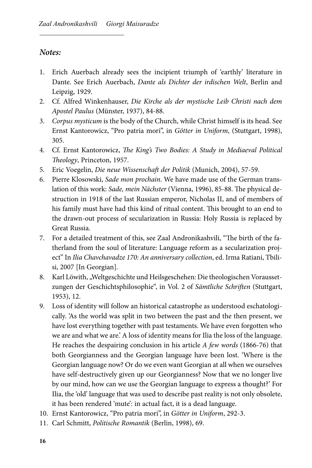## *Notes:*

- 1. Erich Auerbach already sees the incipient triumph of 'earthly' literature in Dante. See Erich Auerbach, *Dante als Dichter der irdischen Welt*, Berlin and Leipzig, 1929.
- 2. Cf. Alfred Winkenhauser, *Die Kirche als der mystische Leib Christi nach dem Apostel Paulus* (Münster, 1937), 84-88.
- 3. *Corpus mysticum* is the body of the Church, while Christ himself is its head. See Ernst Kantorowicz, "Pro patria mori", in *Götter in Uniform*, (Stuttgart, 1998), 305.
- 4. Cf. Ernst Kantorowicz, *The King's Two Bodies: A Study in Mediaeval Political Theology*, Princeton, 1957.
- 5. Eric Voegelin, *Die neue Wissenschaft der Politik* (Munich, 2004), 57-59.
- 6. Pierre Klosowski, *Sade mon prochain*. We have made use of the German translation of this work: *Sade, mein Nächster* (Vienna, 1996), 85-88. The physical destruction in 1918 of the last Russian emperor, Nicholas II, and of members of his family must have had this kind of ritual content. This brought to an end to the drawn-out process of secularization in Russia: Holy Russia is replaced by Great Russia.
- 7. For a detailed treatment of this, see Zaal Andronikashvili, "The birth of the fatherland from the soul of literature: Language reform as a secularization project" In *Ilia Chavchavadze 170: An anniversary collection*, ed. Irma Ratiani, Tbilisi, 2007 [In Georgian].
- 8. Karl Löwith, "Weltgeschichte und Heilsgeschehen: Die theologischen Voraussetzungen der Geschichtsphilosophie", in Vol. 2 of *Sämtliche Schriften* (Stuttgart, 1953), 12.
- 9. Loss of identity will follow an historical catastrophe as understood eschatologically. 'As the world was split in two between the past and the then present, we have lost everything together with past testaments. We have even forgotten who we are and what we are.' A loss of identity means for Ilia the loss of the language. He reaches the despairing conclusion in his article *A few words* (1866-76) that both Georgianness and the Georgian language have been lost. 'Where is the Georgian language now? Or do we even want Georgian at all when we ourselves have self-destructively given up our Georgianness? Now that we no longer live by our mind, how can we use the Georgian language to express a thought?' For Ilia, the 'old' language that was used to describe past reality is not only obsolete, it has been rendered 'mute': in actual fact, it is a dead language.
- 10. Ernst Kantorowicz, "Pro patria mori", in *Götter in Uniform*, 292-3.
- 11. Carl Schmitt, *Politische Romantik* (Berlin, 1998), 69.